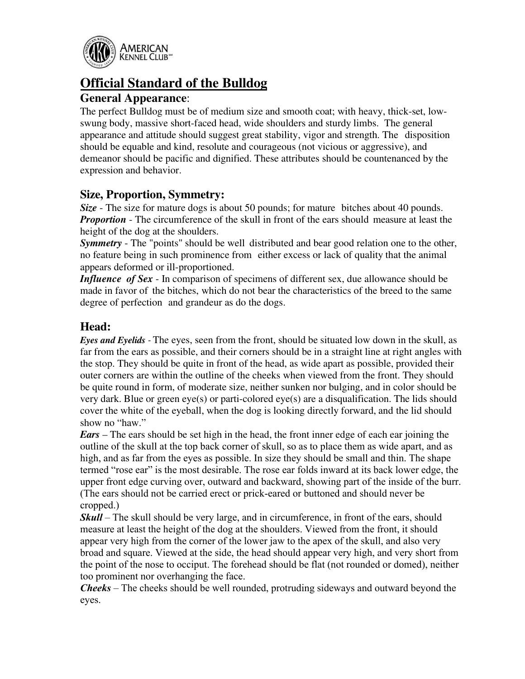

# **Official Standard of the Bulldog**

### **General Appearance**:

The perfect Bulldog must be of medium size and smooth coat; with heavy, thick-set, lowswung body, massive short-faced head, wide shoulders and sturdy limbs. The general appearance and attitude should suggest great stability, vigor and strength. The disposition should be equable and kind, resolute and courageous (not vicious or aggressive), and demeanor should be pacific and dignified. These attributes should be countenanced by the expression and behavior.

## **Size, Proportion, Symmetry:**

*Size* - The size for mature dogs is about 50 pounds; for mature bitches about 40 pounds. *Proportion* - The circumference of the skull in front of the ears should measure at least the height of the dog at the shoulders.

*Symmetry* - The "points" should be well distributed and bear good relation one to the other, no feature being in such prominence from either excess or lack of quality that the animal appears deformed or ill-proportioned.

*Influence of Sex* - In comparison of specimens of different sex, due allowance should be made in favor of the bitches, which do not bear the characteristics of the breed to the same degree of perfection and grandeur as do the dogs.

# **Head:**

*Eyes and Eyelids* - The eyes, seen from the front, should be situated low down in the skull, as far from the ears as possible, and their corners should be in a straight line at right angles with the stop. They should be quite in front of the head, as wide apart as possible, provided their outer corners are within the outline of the cheeks when viewed from the front. They should be quite round in form, of moderate size, neither sunken nor bulging, and in color should be very dark. Blue or green eye(s) or parti-colored eye(s) are a disqualification. The lids should cover the white of the eyeball, when the dog is looking directly forward, and the lid should show no "haw."

*Ears* – The ears should be set high in the head, the front inner edge of each ear joining the outline of the skull at the top back corner of skull, so as to place them as wide apart, and as high, and as far from the eyes as possible. In size they should be small and thin. The shape termed "rose ear" is the most desirable. The rose ear folds inward at its back lower edge, the upper front edge curving over, outward and backward, showing part of the inside of the burr. (The ears should not be carried erect or prick-eared or buttoned and should never be cropped.)

*Skull* – The skull should be very large, and in circumference, in front of the ears, should measure at least the height of the dog at the shoulders. Viewed from the front, it should appear very high from the corner of the lower jaw to the apex of the skull, and also very broad and square. Viewed at the side, the head should appear very high, and very short from the point of the nose to occiput. The forehead should be flat (not rounded or domed), neither too prominent nor overhanging the face.

*Cheeks* – The cheeks should be well rounded, protruding sideways and outward beyond the eyes.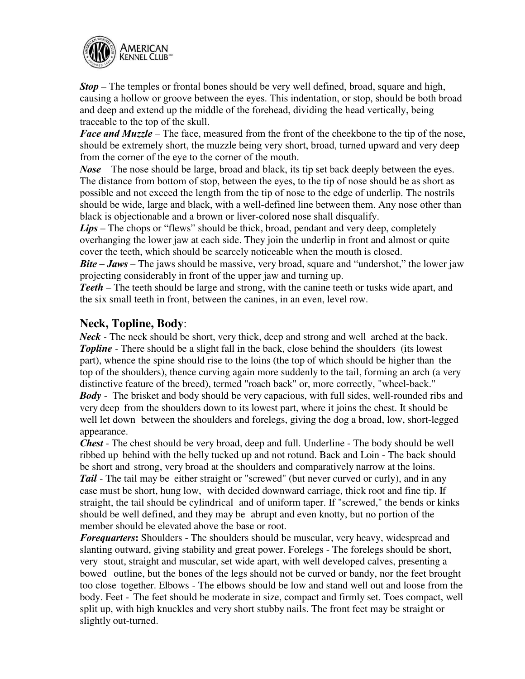

*Stop* – The temples or frontal bones should be very well defined, broad, square and high, causing a hollow or groove between the eyes. This indentation, or stop, should be both broad and deep and extend up the middle of the forehead, dividing the head vertically, being traceable to the top of the skull.

*Face and Muzzle* – The face, measured from the front of the cheekbone to the tip of the nose, should be extremely short, the muzzle being very short, broad, turned upward and very deep from the corner of the eye to the corner of the mouth.

*Nose* – The nose should be large, broad and black, its tip set back deeply between the eyes. The distance from bottom of stop, between the eyes, to the tip of nose should be as short as possible and not exceed the length from the tip of nose to the edge of underlip. The nostrils should be wide, large and black, with a well-defined line between them. Any nose other than black is objectionable and a brown or liver-colored nose shall disqualify.

Lips – The chops or "flews" should be thick, broad, pendant and very deep, completely overhanging the lower jaw at each side. They join the underlip in front and almost or quite cover the teeth, which should be scarcely noticeable when the mouth is closed.

*Bite – Jaws* – The jaws should be massive, very broad, square and "undershot," the lower jaw projecting considerably in front of the upper jaw and turning up.

*Teeth* – The teeth should be large and strong, with the canine teeth or tusks wide apart, and the six small teeth in front, between the canines, in an even, level row.

### **Neck, Topline, Body**:

*Neck* - The neck should be short, very thick, deep and strong and well arched at the back. **Topline** - There should be a slight fall in the back, close behind the shoulders (its lowest part), whence the spine should rise to the loins (the top of which should be higher than the top of the shoulders), thence curving again more suddenly to the tail, forming an arch (a very distinctive feature of the breed), termed "roach back" or, more correctly, "wheel-back." *Body* - The brisket and body should be very capacious, with full sides, well-rounded ribs and very deep from the shoulders down to its lowest part, where it joins the chest. It should be well let down between the shoulders and forelegs, giving the dog a broad, low, short-legged appearance.

*Chest* - The chest should be very broad, deep and full. Underline - The body should be well ribbed up behind with the belly tucked up and not rotund. Back and Loin - The back should be short and strong, very broad at the shoulders and comparatively narrow at the loins. *Tail* - The tail may be either straight or "screwed" (but never curved or curly), and in any case must be short, hung low, with decided downward carriage, thick root and fine tip. If straight, the tail should be cylindrical and of uniform taper. If "screwed," the bends or kinks should be well defined, and they may be abrupt and even knotty, but no portion of the member should be elevated above the base or root.

*Forequarters***:** Shoulders - The shoulders should be muscular, very heavy, widespread and slanting outward, giving stability and great power. Forelegs - The forelegs should be short, very stout, straight and muscular, set wide apart, with well developed calves, presenting a bowed outline, but the bones of the legs should not be curved or bandy, nor the feet brought too close together. Elbows - The elbows should be low and stand well out and loose from the body. Feet - The feet should be moderate in size, compact and firmly set. Toes compact, well split up, with high knuckles and very short stubby nails. The front feet may be straight or slightly out-turned.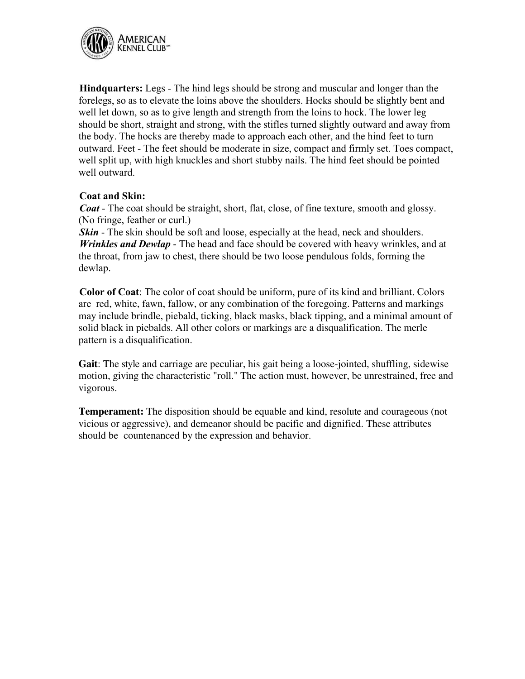

**Hindquarters:** Legs - The hind legs should be strong and muscular and longer than the forelegs, so as to elevate the loins above the shoulders. Hocks should be slightly bent and well let down, so as to give length and strength from the loins to hock. The lower leg should be short, straight and strong, with the stifles turned slightly outward and away from the body. The hocks are thereby made to approach each other, and the hind feet to turn outward. Feet - The feet should be moderate in size, compact and firmly set. Toes compact, well split up, with high knuckles and short stubby nails. The hind feet should be pointed well outward.

#### **Coat and Skin:**

*Coat* - The coat should be straight, short, flat, close, of fine texture, smooth and glossy. (No fringe, feather or curl.)

*Skin* - The skin should be soft and loose, especially at the head, neck and shoulders. *Wrinkles and Dewlap* - The head and face should be covered with heavy wrinkles, and at the throat, from jaw to chest, there should be two loose pendulous folds, forming the dewlap.

**Color of Coat**: The color of coat should be uniform, pure of its kind and brilliant. Colors are red, white, fawn, fallow, or any combination of the foregoing. Patterns and markings may include brindle, piebald, ticking, black masks, black tipping, and a minimal amount of solid black in piebalds. All other colors or markings are a disqualification. The merle pattern is a disqualification.

**Gait**: The style and carriage are peculiar, his gait being a loose-jointed, shuffling, sidewise motion, giving the characteristic "roll." The action must, however, be unrestrained, free and vigorous.

**Temperament:** The disposition should be equable and kind, resolute and courageous (not vicious or aggressive), and demeanor should be pacific and dignified. These attributes should be countenanced by the expression and behavior.